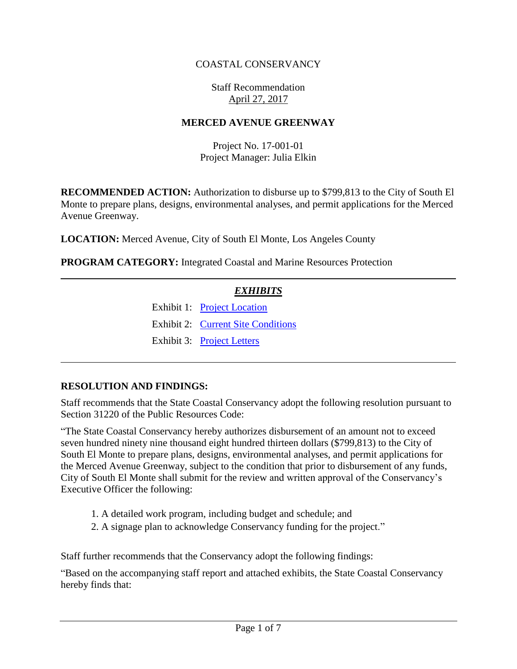## COASTAL CONSERVANCY

### Staff Recommendation April 27, 2017

### **MERCED AVENUE GREENWAY**

Project No. 17-001-01 Project Manager: Julia Elkin

**RECOMMENDED ACTION:** Authorization to disburse up to \$799,813 to the City of South El Monte to prepare plans, designs, environmental analyses, and permit applications for the Merced Avenue Greenway.

**LOCATION:** Merced Avenue, City of South El Monte, Los Angeles County

**PROGRAM CATEGORY:** Integrated Coastal and Marine Resources Protection

## *EXHIBITS*

Exhibit 1: [Project Location](20170427Board12_Merced_Avenue_Greenway_Ex1.pdf) Exhibit 2: [Current Site Conditions](20170427Board12_Merced_Avenue_Greenway_Ex2.pdf) Exhibit 3: [Project Letters](20170427Board12_Merced_Avenue_Greenway_Ex3.pdf)

### **RESOLUTION AND FINDINGS:**

Staff recommends that the State Coastal Conservancy adopt the following resolution pursuant to Section 31220 of the Public Resources Code:

"The State Coastal Conservancy hereby authorizes disbursement of an amount not to exceed seven hundred ninety nine thousand eight hundred thirteen dollars (\$799,813) to the City of South El Monte to prepare plans, designs, environmental analyses, and permit applications for the Merced Avenue Greenway, subject to the condition that prior to disbursement of any funds, City of South El Monte shall submit for the review and written approval of the Conservancy's Executive Officer the following:

- 1. A detailed work program, including budget and schedule; and
- 2. A signage plan to acknowledge Conservancy funding for the project."

Staff further recommends that the Conservancy adopt the following findings:

"Based on the accompanying staff report and attached exhibits, the State Coastal Conservancy hereby finds that: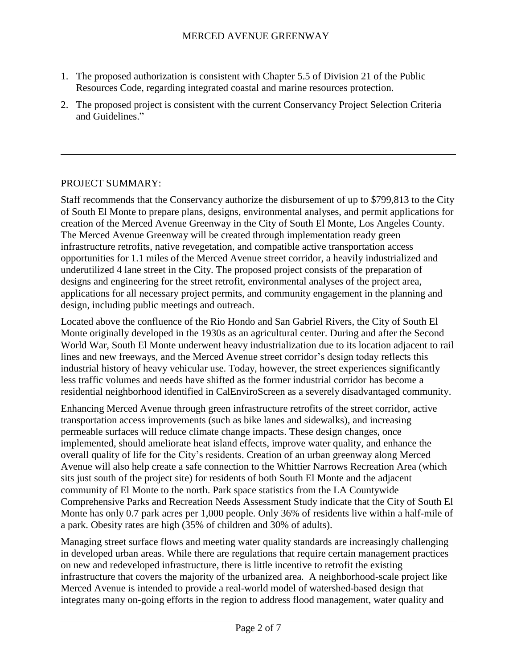- 1. The proposed authorization is consistent with Chapter 5.5 of Division 21 of the Public Resources Code, regarding integrated coastal and marine resources protection.
- 2. The proposed project is consistent with the current Conservancy Project Selection Criteria and Guidelines."

## PROJECT SUMMARY:

Staff recommends that the Conservancy authorize the disbursement of up to \$799,813 to the City of South El Monte to prepare plans, designs, environmental analyses, and permit applications for creation of the Merced Avenue Greenway in the City of South El Monte, Los Angeles County. The Merced Avenue Greenway will be created through implementation ready green infrastructure retrofits, native revegetation, and compatible active transportation access opportunities for 1.1 miles of the Merced Avenue street corridor, a heavily industrialized and underutilized 4 lane street in the City. The proposed project consists of the preparation of designs and engineering for the street retrofit, environmental analyses of the project area, applications for all necessary project permits, and community engagement in the planning and design, including public meetings and outreach.

Located above the confluence of the Rio Hondo and San Gabriel Rivers, the City of South El Monte originally developed in the 1930s as an agricultural center. During and after the Second World War, South El Monte underwent heavy industrialization due to its location adjacent to rail lines and new freeways, and the Merced Avenue street corridor's design today reflects this industrial history of heavy vehicular use. Today, however, the street experiences significantly less traffic volumes and needs have shifted as the former industrial corridor has become a residential neighborhood identified in CalEnviroScreen as a severely disadvantaged community.

Enhancing Merced Avenue through green infrastructure retrofits of the street corridor, active transportation access improvements (such as bike lanes and sidewalks), and increasing permeable surfaces will reduce climate change impacts. These design changes, once implemented, should ameliorate heat island effects, improve water quality, and enhance the overall quality of life for the City's residents. Creation of an urban greenway along Merced Avenue will also help create a safe connection to the Whittier Narrows Recreation Area (which sits just south of the project site) for residents of both South El Monte and the adjacent community of El Monte to the north. Park space statistics from the LA Countywide Comprehensive Parks and Recreation Needs Assessment Study indicate that the City of South El Monte has only 0.7 park acres per 1,000 people. Only 36% of residents live within a half-mile of a park. Obesity rates are high (35% of children and 30% of adults).

Managing street surface flows and meeting water quality standards are increasingly challenging in developed urban areas. While there are regulations that require certain management practices on new and redeveloped infrastructure, there is little incentive to retrofit the existing infrastructure that covers the majority of the urbanized area. A neighborhood-scale project like Merced Avenue is intended to provide a real-world model of watershed-based design that integrates many on-going efforts in the region to address flood management, water quality and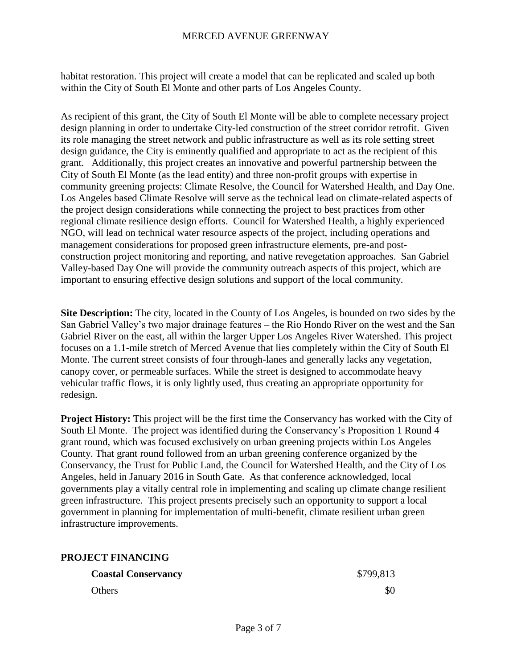### MERCED AVENUE GREENWAY

habitat restoration. This project will create a model that can be replicated and scaled up both within the City of South El Monte and other parts of Los Angeles County.

As recipient of this grant, the City of South El Monte will be able to complete necessary project design planning in order to undertake City-led construction of the street corridor retrofit. Given its role managing the street network and public infrastructure as well as its role setting street design guidance, the City is eminently qualified and appropriate to act as the recipient of this grant. Additionally, this project creates an innovative and powerful partnership between the City of South El Monte (as the lead entity) and three non-profit groups with expertise in community greening projects: Climate Resolve, the Council for Watershed Health, and Day One. Los Angeles based Climate Resolve will serve as the technical lead on climate-related aspects of the project design considerations while connecting the project to best practices from other regional climate resilience design efforts. Council for Watershed Health, a highly experienced NGO, will lead on technical water resource aspects of the project, including operations and management considerations for proposed green infrastructure elements, pre-and postconstruction project monitoring and reporting, and native revegetation approaches. San Gabriel Valley-based Day One will provide the community outreach aspects of this project, which are important to ensuring effective design solutions and support of the local community.

**Site Description:** The city, located in the County of Los Angeles, is bounded on two sides by the San Gabriel Valley's two major drainage features – the Rio Hondo River on the west and the San Gabriel River on the east, all within the larger Upper Los Angeles River Watershed. This project focuses on a 1.1-mile stretch of Merced Avenue that lies completely within the City of South El Monte. The current street consists of four through-lanes and generally lacks any vegetation, canopy cover, or permeable surfaces. While the street is designed to accommodate heavy vehicular traffic flows, it is only lightly used, thus creating an appropriate opportunity for redesign.

**Project History:** This project will be the first time the Conservancy has worked with the City of South El Monte. The project was identified during the Conservancy's Proposition 1 Round 4 grant round, which was focused exclusively on urban greening projects within Los Angeles County. That grant round followed from an urban greening conference organized by the Conservancy, the Trust for Public Land, the Council for Watershed Health, and the City of Los Angeles, held in January 2016 in South Gate. As that conference acknowledged, local governments play a vitally central role in implementing and scaling up climate change resilient green infrastructure. This project presents precisely such an opportunity to support a local government in planning for implementation of multi-benefit, climate resilient urban green infrastructure improvements.

### **PROJECT FINANCING**

| <b>Coastal Conservancy</b> | \$799,813 |
|----------------------------|-----------|
| <b>Others</b>              | \$0       |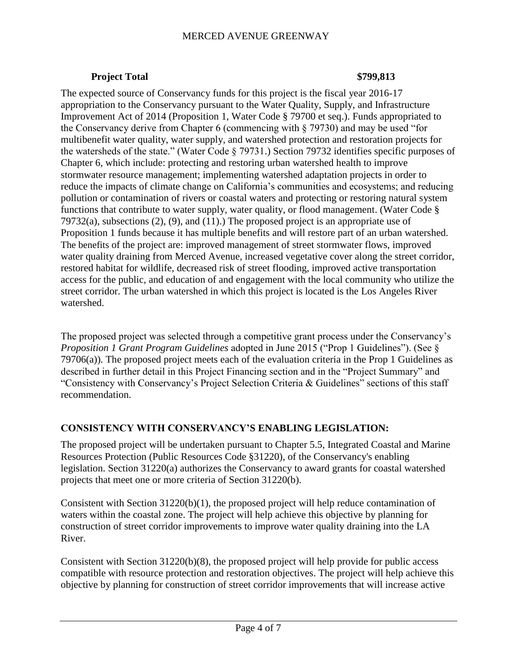### MERCED AVENUE GREENWAY

### **Project Total \$799,813**

The expected source of Conservancy funds for this project is the fiscal year 2016-17 appropriation to the Conservancy pursuant to the Water Quality, Supply, and Infrastructure Improvement Act of 2014 (Proposition 1, Water Code § 79700 et seq.). Funds appropriated to the Conservancy derive from Chapter 6 (commencing with § 79730) and may be used "for multibenefit water quality, water supply, and watershed protection and restoration projects for the watersheds of the state." (Water Code § 79731.) Section 79732 identifies specific purposes of Chapter 6, which include: protecting and restoring urban watershed health to improve stormwater resource management; implementing watershed adaptation projects in order to reduce the impacts of climate change on California's communities and ecosystems; and reducing pollution or contamination of rivers or coastal waters and protecting or restoring natural system functions that contribute to water supply, water quality, or flood management. (Water Code § 79732(a), subsections  $(2)$ ,  $(9)$ , and  $(11)$ . The proposed project is an appropriate use of Proposition 1 funds because it has multiple benefits and will restore part of an urban watershed. The benefits of the project are: improved management of street stormwater flows, improved water quality draining from Merced Avenue, increased vegetative cover along the street corridor, restored habitat for wildlife, decreased risk of street flooding, improved active transportation access for the public, and education of and engagement with the local community who utilize the street corridor. The urban watershed in which this project is located is the Los Angeles River watershed.

The proposed project was selected through a competitive grant process under the Conservancy's *Proposition 1 Grant Program Guidelines* adopted in June 2015 ("Prop 1 Guidelines"). (See § 79706(a)). The proposed project meets each of the evaluation criteria in the Prop 1 Guidelines as described in further detail in this Project Financing section and in the "Project Summary" and "Consistency with Conservancy's Project Selection Criteria & Guidelines" sections of this staff recommendation.

### **CONSISTENCY WITH CONSERVANCY'S ENABLING LEGISLATION:**

The proposed project will be undertaken pursuant to Chapter 5.5, Integrated Coastal and Marine Resources Protection (Public Resources Code §31220), of the Conservancy's enabling legislation. Section 31220(a) authorizes the Conservancy to award grants for coastal watershed projects that meet one or more criteria of Section 31220(b).

Consistent with Section 31220(b)(1), the proposed project will help reduce contamination of waters within the coastal zone. The project will help achieve this objective by planning for construction of street corridor improvements to improve water quality draining into the LA River.

Consistent with Section 31220(b)(8), the proposed project will help provide for public access compatible with resource protection and restoration objectives. The project will help achieve this objective by planning for construction of street corridor improvements that will increase active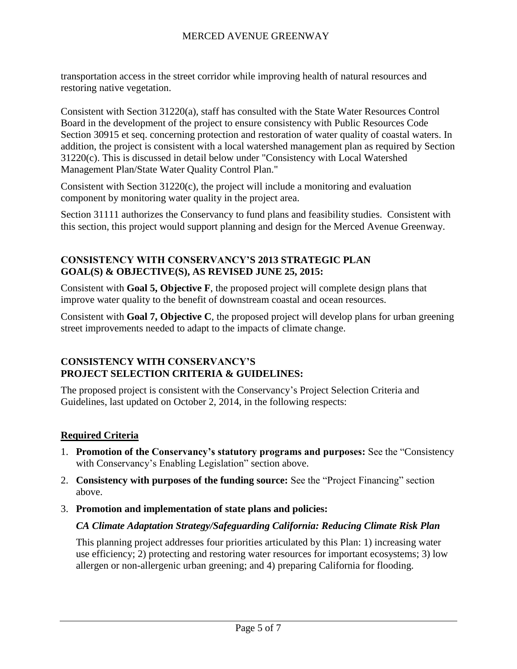transportation access in the street corridor while improving health of natural resources and restoring native vegetation.

Consistent with Section 31220(a), staff has consulted with the State Water Resources Control Board in the development of the project to ensure consistency with Public Resources Code Section 30915 et seq. concerning protection and restoration of water quality of coastal waters. In addition, the project is consistent with a local watershed management plan as required by Section 31220(c). This is discussed in detail below under "Consistency with Local Watershed Management Plan/State Water Quality Control Plan."

Consistent with Section  $31220(c)$ , the project will include a monitoring and evaluation component by monitoring water quality in the project area.

Section 31111 authorizes the Conservancy to fund plans and feasibility studies. Consistent with this section, this project would support planning and design for the Merced Avenue Greenway.

## **CONSISTENCY WITH CONSERVANCY'S 2013 STRATEGIC PLAN GOAL(S) & OBJECTIVE(S), AS REVISED JUNE 25, 2015:**

Consistent with **Goal 5, Objective F**, the proposed project will complete design plans that improve water quality to the benefit of downstream coastal and ocean resources.

Consistent with **Goal 7, Objective C**, the proposed project will develop plans for urban greening street improvements needed to adapt to the impacts of climate change.

## **CONSISTENCY WITH CONSERVANCY'S PROJECT SELECTION CRITERIA & GUIDELINES:**

The proposed project is consistent with the Conservancy's Project Selection Criteria and Guidelines, last updated on October 2, 2014, in the following respects:

## **Required Criteria**

- 1. **Promotion of the Conservancy's statutory programs and purposes:** See the "Consistency with Conservancy's Enabling Legislation" section above.
- 2. **Consistency with purposes of the funding source:** See the "Project Financing" section above.
- 3. **Promotion and implementation of state plans and policies:**

## *CA Climate Adaptation Strategy/Safeguarding California: Reducing Climate Risk Plan*

This planning project addresses four priorities articulated by this Plan: 1) increasing water use efficiency; 2) protecting and restoring water resources for important ecosystems; 3) low allergen or non-allergenic urban greening; and 4) preparing California for flooding.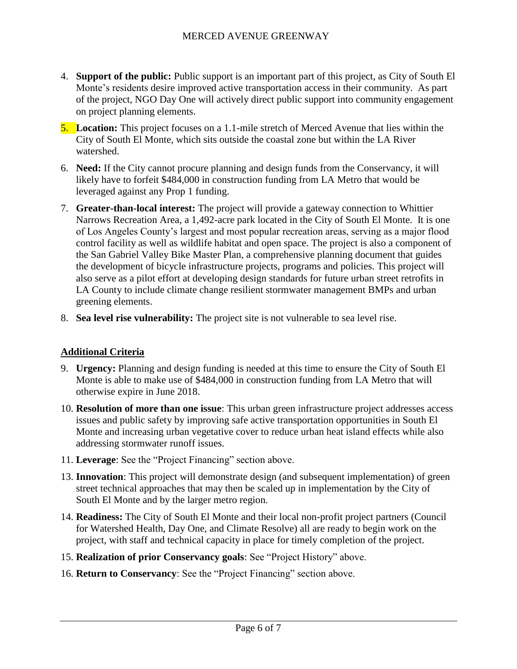- 4. **Support of the public:** Public support is an important part of this project, as City of South El Monte's residents desire improved active transportation access in their community. As part of the project, NGO Day One will actively direct public support into community engagement on project planning elements.
- 5. **Location:** This project focuses on a 1.1-mile stretch of Merced Avenue that lies within the City of South El Monte, which sits outside the coastal zone but within the LA River watershed.
- 6. **Need:** If the City cannot procure planning and design funds from the Conservancy, it will likely have to forfeit \$484,000 in construction funding from LA Metro that would be leveraged against any Prop 1 funding.
- 7. **Greater-than-local interest:** The project will provide a gateway connection to Whittier Narrows Recreation Area, a 1,492-acre park located in the City of South El Monte. It is one of Los Angeles County's largest and most popular recreation areas, serving as a major flood control facility as well as wildlife habitat and open space. The project is also a component of the San Gabriel Valley Bike Master Plan, a comprehensive planning document that guides the development of bicycle infrastructure projects, programs and policies. This project will also serve as a pilot effort at developing design standards for future urban street retrofits in LA County to include climate change resilient stormwater management BMPs and urban greening elements.
- 8. **Sea level rise vulnerability:** The project site is not vulnerable to sea level rise.

## **Additional Criteria**

- 9. **Urgency:** Planning and design funding is needed at this time to ensure the City of South El Monte is able to make use of \$484,000 in construction funding from LA Metro that will otherwise expire in June 2018.
- 10. **Resolution of more than one issue**: This urban green infrastructure project addresses access issues and public safety by improving safe active transportation opportunities in South El Monte and increasing urban vegetative cover to reduce urban heat island effects while also addressing stormwater runoff issues.
- 11. **Leverage**: See the "Project Financing" section above.
- 13. **Innovation**: This project will demonstrate design (and subsequent implementation) of green street technical approaches that may then be scaled up in implementation by the City of South El Monte and by the larger metro region.
- 14. **Readiness:** The City of South El Monte and their local non-profit project partners (Council for Watershed Health, Day One, and Climate Resolve) all are ready to begin work on the project, with staff and technical capacity in place for timely completion of the project.
- 15. **Realization of prior Conservancy goals**: See "Project History" above.
- 16. **Return to Conservancy**: See the "Project Financing" section above.